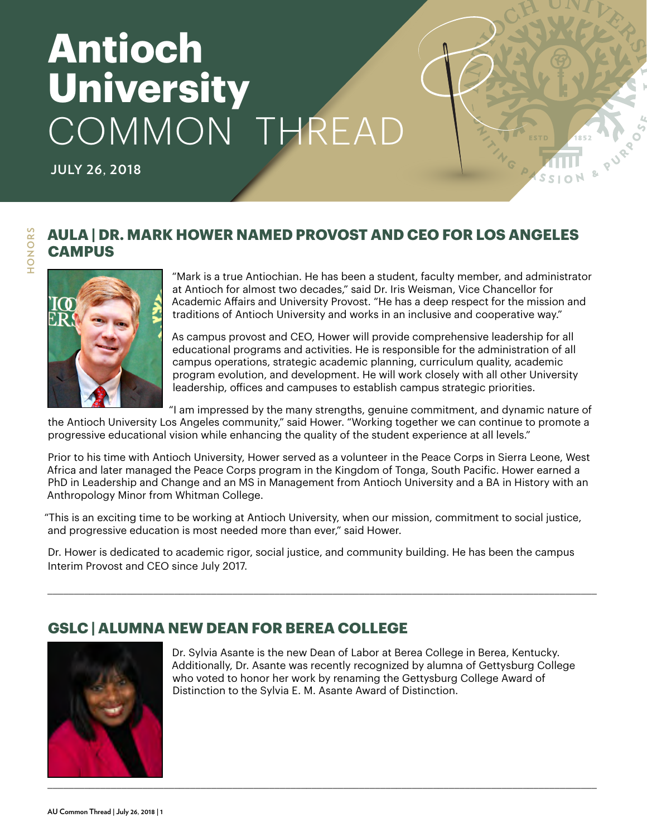# **Antioch University** COMMON THREAD

**JULY 26, 2018**

HONORS **HONORS**

## **AULA | DR. MARK HOWER NAMED PROVOST AND CEO FOR LOS ANGELES CAMPUS**



"Mark is a true Antiochian. He has been a student, faculty member, and administrator at Antioch for almost two decades," said Dr. Iris Weisman, Vice Chancellor for Academic Affairs and University Provost. "He has a deep respect for the mission and traditions of Antioch University and works in an inclusive and cooperative way."

As campus provost and CEO, Hower will provide comprehensive leadership for all educational programs and activities. He is responsible for the administration of all campus operations, strategic academic planning, curriculum quality, academic program evolution, and development. He will work closely with all other University leadership, offices and campuses to establish campus strategic priorities.

"I am impressed by the many strengths, genuine commitment, and dynamic nature of

the Antioch University Los Angeles community," said Hower. "Working together we can continue to promote a progressive educational vision while enhancing the quality of the student experience at all levels."

Prior to his time with Antioch University, Hower served as a volunteer in the Peace Corps in Sierra Leone, West Africa and later managed the Peace Corps program in the Kingdom of Tonga, South Pacific. Hower earned a PhD in Leadership and Change and an MS in Management from Antioch University and a BA in History with an Anthropology Minor from Whitman College.

"This is an exciting time to be working at Antioch University, when our mission, commitment to social justice, and progressive education is most needed more than ever," said Hower.

Dr. Hower is dedicated to academic rigor, social justice, and community building. He has been the campus Interim Provost and CEO since July 2017.

**GSLC | ALUMNA NEW DEAN FOR BEREA COLLEGE**

\_\_\_\_\_\_\_\_\_\_\_\_\_\_\_\_\_\_\_\_\_\_\_\_\_\_\_\_\_\_\_\_\_\_\_\_\_\_\_\_\_\_\_\_\_\_\_\_\_\_\_\_\_\_\_\_\_\_\_\_\_\_\_\_\_\_\_\_\_\_\_\_\_\_\_\_\_\_\_\_\_\_\_\_\_\_\_\_\_\_\_\_\_\_\_\_\_\_\_\_\_\_\_\_

\_\_\_\_\_\_\_\_\_\_\_\_\_\_\_\_\_\_\_\_\_\_\_\_\_\_\_\_\_\_\_\_\_\_\_\_\_\_\_\_\_\_\_\_\_\_\_\_\_\_\_\_\_\_\_\_\_\_\_\_\_\_\_\_\_\_\_\_\_\_\_\_\_\_\_\_\_\_\_\_\_\_\_\_\_\_\_\_\_\_\_\_\_\_\_\_\_\_\_\_\_\_\_\_

Dr. Sylvia Asante is the new Dean of Labor at Berea College in Berea, Kentucky. Additionally, Dr. Asante was recently recognized by alumna of Gettysburg College who voted to honor her work by renaming the Gettysburg College Award of Distinction to the Sylvia E. M. Asante Award of Distinction.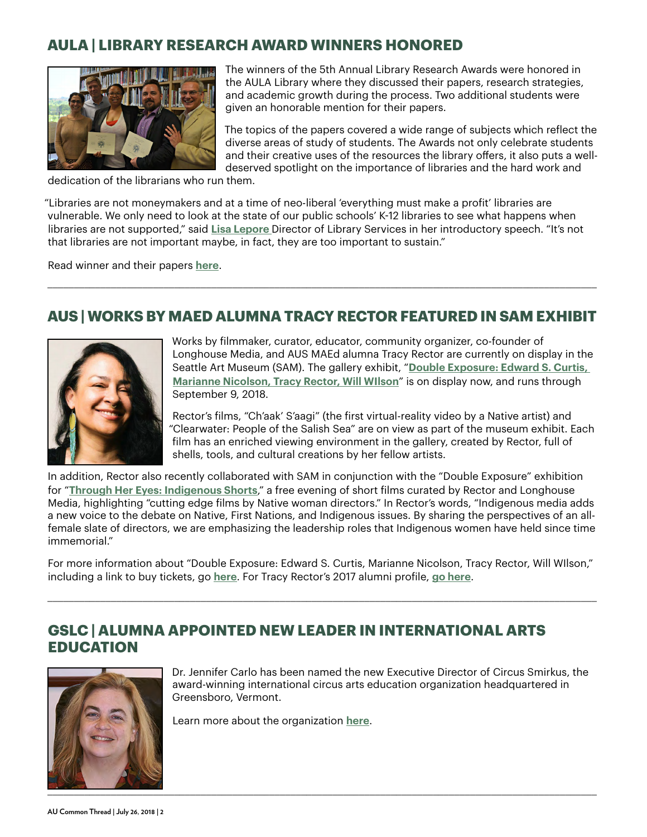## **AULA | LIBRARY RESEARCH AWARD WINNERS HONORED**



The winners of the 5th Annual Library Research Awards were honored in the AULA Library where they discussed their papers, research strategies, and academic growth during the process. Two additional students were given an honorable mention for their papers.

The topics of the papers covered a wide range of subjects which reflect the diverse areas of study of students. The Awards not only celebrate students and their creative uses of the resources the library offers, it also puts a welldeserved spotlight on the importance of libraries and the hard work and

dedication of the librarians who run them.

"Libraries are not moneymakers and at a time of neo-liberal 'everything must make a profit' libraries are vulnerable. We only need to look at the state of our public schools' K-12 libraries to see what happens when libraries are not supported," said **[Lisa Lepore](https://www.antioch.edu/los-angeles/faculty/lisa-lepore-mlis/)** Director of Library Services in her introductory speech. "It's not that libraries are not important maybe, in fact, they are too important to sustain."

Read winner and their papers **[here](https://www.antioch.edu/los-angeles/2018/07/18/library-research-award-winners-honored/)**.

## **AUS | WORKS BY MAED ALUMNA TRACY RECTOR FEATURED IN SAM EXHIBIT**

\_\_\_\_\_\_\_\_\_\_\_\_\_\_\_\_\_\_\_\_\_\_\_\_\_\_\_\_\_\_\_\_\_\_\_\_\_\_\_\_\_\_\_\_\_\_\_\_\_\_\_\_\_\_\_\_\_\_\_\_\_\_\_\_\_\_\_\_\_\_\_\_\_\_\_\_\_\_\_\_\_\_\_\_\_\_\_\_\_\_\_\_\_\_\_\_\_\_\_\_\_\_\_\_



Works by filmmaker, curator, educator, community organizer, co-founder of Longhouse Media, and AUS MAEd alumna Tracy Rector are currently on display in the Seattle Art Museum (SAM). The gallery exhibit, "**[Double Exposure: Edward S. Curtis,](http://doubleexposure.site.seattleartmuseum.org)  [Marianne Nicolson, Tracy Rector, Will WIlson](http://doubleexposure.site.seattleartmuseum.org)**" is on display now, and runs through September 9, 2018.

Rector's films, "Ch'aak' S'aagi" (the first virtual-reality video by a Native artist) and "Clearwater: People of the Salish Sea" are on view as part of the museum exhibit. Each film has an enriched viewing environment in the gallery, created by Rector, full of shells, tools, and cultural creations by her fellow artists.

In addition, Rector also recently collaborated with SAM in conjunction with the "Double Exposure" exhibition for "**[Through Her Eyes: Indigenous Shorts](http://seattleartmuseum.org/visit/calendar/events?EventId=60845)**," a free evening of short films curated by Rector and Longhouse Media, highlighting "cutting edge films by Native woman directors." In Rector's words, "Indigenous media adds a new voice to the debate on Native, First Nations, and Indigenous issues. By sharing the perspectives of an allfemale slate of directors, we are emphasizing the leadership roles that Indigenous women have held since time immemorial."

For more information about "Double Exposure: Edward S. Curtis, Marianne Nicolson, Tracy Rector, Will WIlson," including a link to buy tickets, go **[here](http://doubleexposure.site.seattleartmuseum.org)**. For Tracy Rector's 2017 alumni profile, **go here**.

\_\_\_\_\_\_\_\_\_\_\_\_\_\_\_\_\_\_\_\_\_\_\_\_\_\_\_\_\_\_\_\_\_\_\_\_\_\_\_\_\_\_\_\_\_\_\_\_\_\_\_\_\_\_\_\_\_\_\_\_\_\_\_\_\_\_\_\_\_\_\_\_\_\_\_\_\_\_\_\_\_\_\_\_\_\_\_\_\_\_\_\_\_\_\_\_\_\_\_\_\_\_\_\_

## **GSLC | ALUMNA APPOINTED NEW LEADER IN INTERNATIONAL ARTS EDUCATION**



Dr. Jennifer Carlo has been named the new Executive Director of Circus Smirkus, the award-winning international circus arts education organization headquartered in Greensboro, Vermont.

Learn more about the organization **[here](http://www.smirkus.org/)**.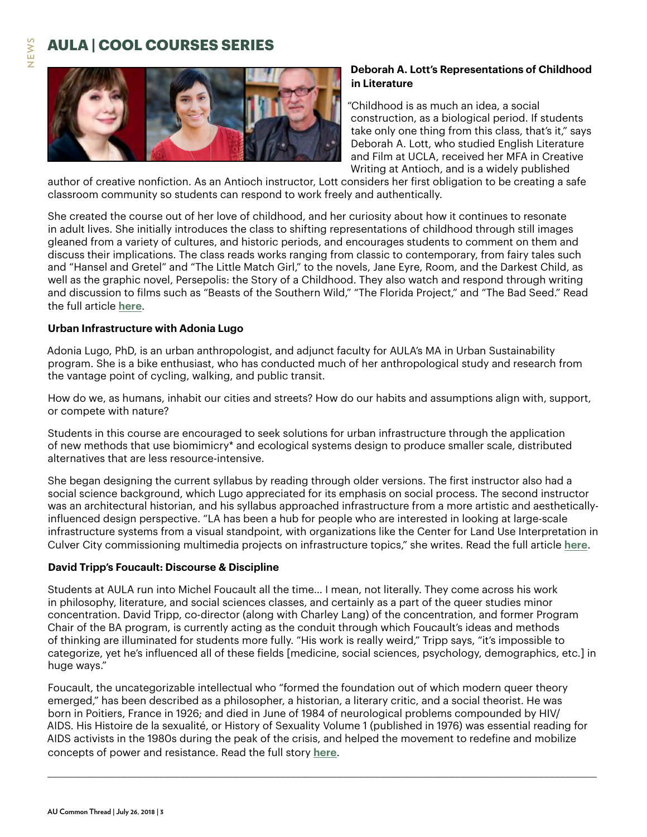## **AULA | COOL COURSES SERIES**



### **Deborah A. Lott's Representations of Childhood in Literature**

"Childhood is as much an idea, a social construction, as a biological period. If students take only one thing from this class, that's it," says Deborah A. Lott, who studied English Literature and Film at UCLA, received her MFA in Creative Writing at Antioch, and is a widely published

author of creative nonfiction. As an Antioch instructor, Lott considers her first obligation to be creating a safe classroom community so students can respond to work freely and authentically.

She created the course out of her love of childhood, and her curiosity about how it continues to resonate in adult lives. She initially introduces the class to shifting representations of childhood through still images gleaned from a variety of cultures, and historic periods, and encourages students to comment on them and discuss their implications. The class reads works ranging from classic to contemporary, from fairy tales such and "Hansel and Gretel" and "The Little Match Girl," to the novels, Jane Eyre, Room, and the Darkest Child, as well as the graphic novel, Persepolis: the Story of a Childhood. They also watch and respond through writing and discussion to films such as "Beasts of the Southern Wild," "The Florida Project," and "The Bad Seed." Read the full article **[here](https://www.antioch.edu/los-angeles/2018/06/14/cool-courses-series-deborah-lotts-representations-childhood-literature/)**.

#### **Urban Infrastructure with Adonia Lugo**

Adonia Lugo, PhD, is an urban anthropologist, and adjunct faculty for AULA's MA in Urban Sustainability program. She is a bike enthusiast, who has conducted much of her anthropological study and research from the vantage point of cycling, walking, and public transit.

How do we, as humans, inhabit our cities and streets? How do our habits and assumptions align with, support, or compete with nature?

Students in this course are encouraged to seek solutions for urban infrastructure through the application of new methods that use biomimicry\* and ecological systems design to produce smaller scale, distributed alternatives that are less resource-intensive.

She began designing the current syllabus by reading through older versions. The first instructor also had a social science background, which Lugo appreciated for its emphasis on social process. The second instructor was an architectural historian, and his syllabus approached infrastructure from a more artistic and aestheticallyinfluenced design perspective. "LA has been a hub for people who are interested in looking at large-scale infrastructure systems from a visual standpoint, with organizations like the Center for Land Use Interpretation in Culver City commissioning multimedia projects on infrastructure topics," she writes. Read the full article **[here](https://www.antioch.edu/los-angeles/2018/05/31/cool-courses-series-urban-infrastructure-adonia-lugo/)**.

#### **David Tripp's Foucault: Discourse & Discipline**

Students at AULA run into Michel Foucault all the time… I mean, not literally. They come across his work in philosophy, literature, and social sciences classes, and certainly as a part of the queer studies minor concentration. David Tripp, co-director (along with Charley Lang) of the concentration, and former Program Chair of the BA program, is currently acting as the conduit through which Foucault's ideas and methods of thinking are illuminated for students more fully. "His work is really weird," Tripp says, "it's impossible to categorize, yet he's influenced all of these fields [medicine, social sciences, psychology, demographics, etc.] in huge ways."

Foucault, the uncategorizable intellectual who "formed the foundation out of which modern queer theory emerged," has been described as a philosopher, a historian, a literary critic, and a social theorist. He was born in Poitiers, France in 1926; and died in June of 1984 of neurological problems compounded by HIV/ AIDS. His Histoire de la sexualité, or History of Sexuality Volume 1 (published in 1976) was essential reading for AIDS activists in the 1980s during the peak of the crisis, and helped the movement to redefine and mobilize concepts of power and resistance. Read the full story **[here](https://www.antioch.edu/los-angeles/2018/06/06/cool-courses-series-david-tripps-foucault-discourse-discipline/)**.

\_\_\_\_\_\_\_\_\_\_\_\_\_\_\_\_\_\_\_\_\_\_\_\_\_\_\_\_\_\_\_\_\_\_\_\_\_\_\_\_\_\_\_\_\_\_\_\_\_\_\_\_\_\_\_\_\_\_\_\_\_\_\_\_\_\_\_\_\_\_\_\_\_\_\_\_\_\_\_\_\_\_\_\_\_\_\_\_\_\_\_\_\_\_\_\_\_\_\_\_\_\_\_\_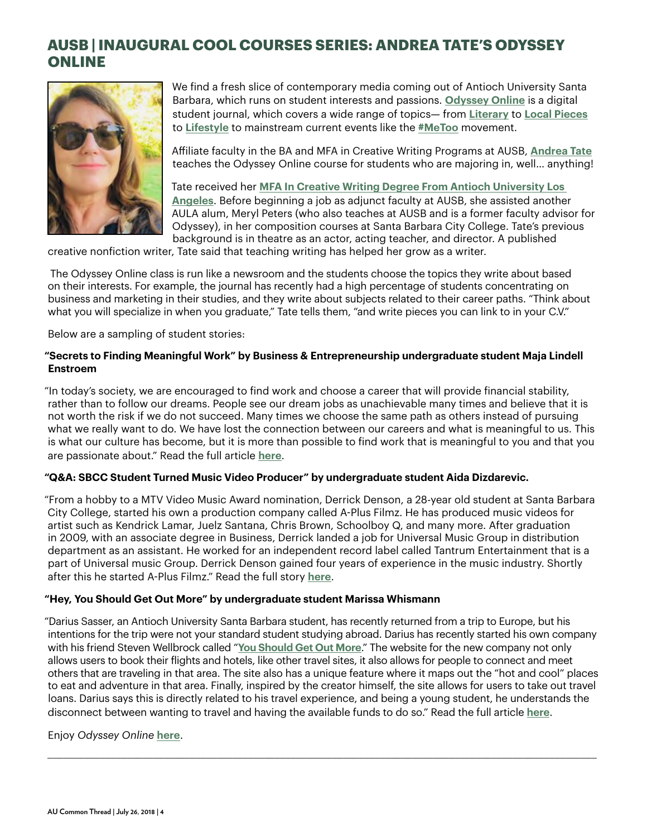## **AUSB | INAUGURAL COOL COURSES SERIES: ANDREA TATE'S ODYSSEY ONLINE**



We find a fresh slice of contemporary media coming out of Antioch University Santa Barbara, which runs on student interests and passions. **[Odyssey Online](https://www.theodysseyonline.com)** is a digital student journal, which covers a wide range of topics— from **[Literary](https://odyssey.antiochsb.edu/literary/boffo-the-snake/)** to **[Local Pieces](https://odyssey.antiochsb.edu/features/sb-local/the-power-of-people-the-santa-barbara-bucket-brigade/)** to **[Lifestyle](https://odyssey.antiochsb.edu/features/sb-local/dinner-with-a-dog-or-two/)** to mainstream current events like the **[#MeToo](https://odyssey.antiochsb.edu/features/interviews/metoo-movement-breaks-silence/)** movement.

Affiliate faculty in the BA and MFA in Creative Writing Programs at AUSB, **[Andrea Tate](https://www.antioch.edu/santa-barbara/faculty/andrea-tate/)** teaches the Odyssey Online course for students who are majoring in, well… anything!

Tate received her **[MFA In Creative Writing Degree From Antioch University Los](https://www.antioch.edu/los-angeles/degrees-programs/creative-writing-communication-studies/creative-writing-mfa/)  [Angeles](https://www.antioch.edu/los-angeles/degrees-programs/creative-writing-communication-studies/creative-writing-mfa/)**. Before beginning a job as adjunct faculty at AUSB, she assisted another AULA alum, Meryl Peters (who also teaches at AUSB and is a former faculty advisor for Odyssey), in her composition courses at Santa Barbara City College. Tate's previous background is in theatre as an actor, acting teacher, and director. A published

creative nonfiction writer, Tate said that teaching writing has helped her grow as a writer.

 The Odyssey Online class is run like a newsroom and the students choose the topics they write about based on their interests. For example, the journal has recently had a high percentage of students concentrating on business and marketing in their studies, and they write about subjects related to their career paths. "Think about what you will specialize in when you graduate," Tate tells them, "and write pieces you can link to in your C.V."

Below are a sampling of student stories:

#### **"Secrets to Finding Meaningful Work" by Business & Entrepreneurship undergraduate student Maja Lindell Enstroem**

"In today's society, we are encouraged to find work and choose a career that will provide financial stability, rather than to follow our dreams. People see our dream jobs as unachievable many times and believe that it is not worth the risk if we do not succeed. Many times we choose the same path as others instead of pursuing what we really want to do. We have lost the connection between our careers and what is meaningful to us. This is what our culture has become, but it is more than possible to find work that is meaningful to you and that you are passionate about." Read the full article **[here](http://odyssey.antiochsb.edu/features/interviews/secrets-to-finding-meaningful-work/)**.

#### **"Q&A: SBCC Student Turned Music Video Producer" by undergraduate student Aida Dizdarevic.**

"From a hobby to a MTV Video Music Award nomination, Derrick Denson, a 28-year old student at Santa Barbara City College, started his own a production company called A-Plus Filmz. He has produced music videos for artist such as Kendrick Lamar, Juelz Santana, Chris Brown, Schoolboy Q, and many more. After graduation in 2009, with an associate degree in Business, Derrick landed a job for Universal Music Group in distribution department as an assistant. He worked for an independent record label called Tantrum Entertainment that is a part of Universal music Group. Derrick Denson gained four years of experience in the music industry. Shortly after this he started A-Plus Filmz." Read the full story **[here](http://odyssey.antiochsb.edu/features/interviews/qa-sbcc-student-turned-music-video-producer/)**.

#### **"Hey, You Should Get Out More" by undergraduate student Marissa Whismann**

"Darius Sasser, an Antioch University Santa Barbara student, has recently returned from a trip to Europe, but his intentions for the trip were not your standard student studying abroad. Darius has recently started his own company with his friend Steven Wellbrock called "**[You Should Get Out More](https://www.youshouldgetoutmore.com)**." The website for the new company not only allows users to book their flights and hotels, like other travel sites, it also allows for people to connect and meet others that are traveling in that area. The site also has a unique feature where it maps out the "hot and cool" places to eat and adventure in that area. Finally, inspired by the creator himself, the site allows for users to take out travel loans. Darius says this is directly related to his travel experience, and being a young student, he understands the disconnect between wanting to travel and having the available funds to do so." Read the full article **[here](http://odyssey.antiochsb.edu/campus-news/student-profiles/hey-you-should-get-out-more/)**.

\_\_\_\_\_\_\_\_\_\_\_\_\_\_\_\_\_\_\_\_\_\_\_\_\_\_\_\_\_\_\_\_\_\_\_\_\_\_\_\_\_\_\_\_\_\_\_\_\_\_\_\_\_\_\_\_\_\_\_\_\_\_\_\_\_\_\_\_\_\_\_\_\_\_\_\_\_\_\_\_\_\_\_\_\_\_\_\_\_\_\_\_\_\_\_\_\_\_\_\_\_\_\_\_

#### Enjoy *Odyssey Online* **[here](https://odyssey.antiochsb.edu/)**.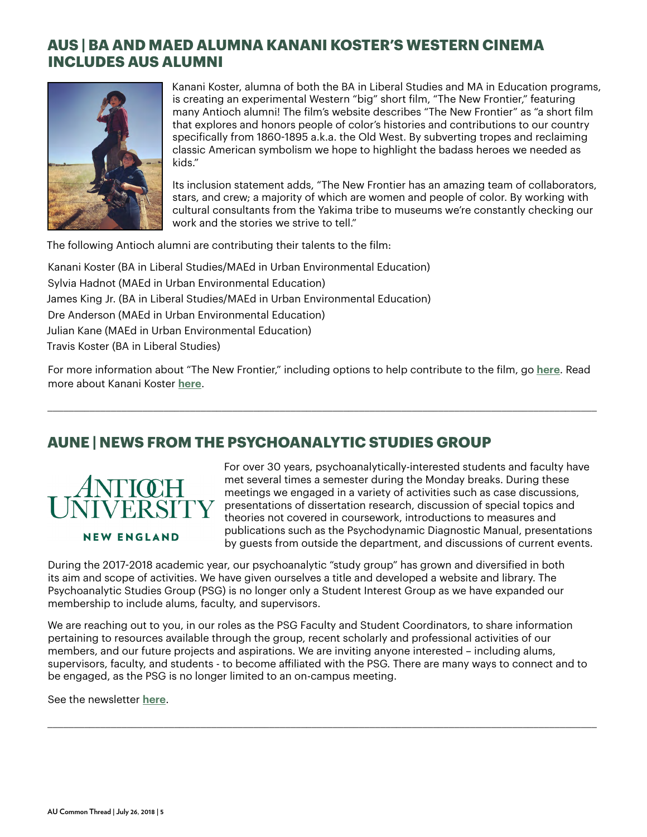## **AUS | BA AND MAED ALUMNA KANANI KOSTER'S WESTERN CINEMA INCLUDES AUS ALUMNI**



Kanani Koster, alumna of both the BA in Liberal Studies and MA in Education programs, is creating an experimental Western "big" short film, "The New Frontier," featuring many Antioch alumni! The film's website describes "The New Frontier" as "a short film that explores and honors people of color's histories and contributions to our country specifically from 1860-1895 a.k.a. the Old West. By subverting tropes and reclaiming classic American symbolism we hope to highlight the badass heroes we needed as kids."

Its inclusion statement adds, "The New Frontier has an amazing team of collaborators, stars, and crew; a majority of which are women and people of color. By working with cultural consultants from the Yakima tribe to museums we're constantly checking our work and the stories we strive to tell."

The following Antioch alumni are contributing their talents to the film:

Kanani Koster (BA in Liberal Studies/MAEd in Urban Environmental Education) Sylvia Hadnot (MAEd in Urban Environmental Education) James King Jr. (BA in Liberal Studies/MAEd in Urban Environmental Education) Dre Anderson (MAEd in Urban Environmental Education) Julian Kane (MAEd in Urban Environmental Education) Travis Koster (BA in Liberal Studies)

For more information about "The New Frontier," including options to help contribute to the film, go **[here](https://www.seedandspark.com/fund/the-new-frontier#story)**. Read more about Kanani Koster **[here](https://www.antioch.edu/seattle/2018/07/23/ba-maed-alumna-kanani-kosters-western-cinema-includes-aus-alumni/)**.

\_\_\_\_\_\_\_\_\_\_\_\_\_\_\_\_\_\_\_\_\_\_\_\_\_\_\_\_\_\_\_\_\_\_\_\_\_\_\_\_\_\_\_\_\_\_\_\_\_\_\_\_\_\_\_\_\_\_\_\_\_\_\_\_\_\_\_\_\_\_\_\_\_\_\_\_\_\_\_\_\_\_\_\_\_\_\_\_\_\_\_\_\_\_\_\_\_\_\_\_\_\_\_\_

## **AUNE | NEWS FROM THE PSYCHOANALYTIC STUDIES GROUP**



**NEW ENGLAND** 

For over 30 years, psychoanalytically-interested students and faculty have met several times a semester during the Monday breaks. During these meetings we engaged in a variety of activities such as case discussions, presentations of dissertation research, discussion of special topics and theories not covered in coursework, introductions to measures and publications such as the Psychodynamic Diagnostic Manual, presentations by guests from outside the department, and discussions of current events.

During the 2017-2018 academic year, our psychoanalytic "study group" has grown and diversified in both its aim and scope of activities. We have given ourselves a title and developed a website and library. The Psychoanalytic Studies Group (PSG) is no longer only a Student Interest Group as we have expanded our membership to include alums, faculty, and supervisors.

We are reaching out to you, in our roles as the PSG Faculty and Student Coordinators, to share information pertaining to resources available through the group, recent scholarly and professional activities of our members, and our future projects and aspirations. We are inviting anyone interested – including alums, supervisors, faculty, and students - to become affiliated with the PSG. There are many ways to connect and to be engaged, as the PSG is no longer limited to an on-campus meeting.

\_\_\_\_\_\_\_\_\_\_\_\_\_\_\_\_\_\_\_\_\_\_\_\_\_\_\_\_\_\_\_\_\_\_\_\_\_\_\_\_\_\_\_\_\_\_\_\_\_\_\_\_\_\_\_\_\_\_\_\_\_\_\_\_\_\_\_\_\_\_\_\_\_\_\_\_\_\_\_\_\_\_\_\_\_\_\_\_\_\_\_\_\_\_\_\_\_\_\_\_\_\_\_\_

See the newsletter **[here](https://sites.google.com/view/psychoanalyticstudiesgroupaune/announcements)**.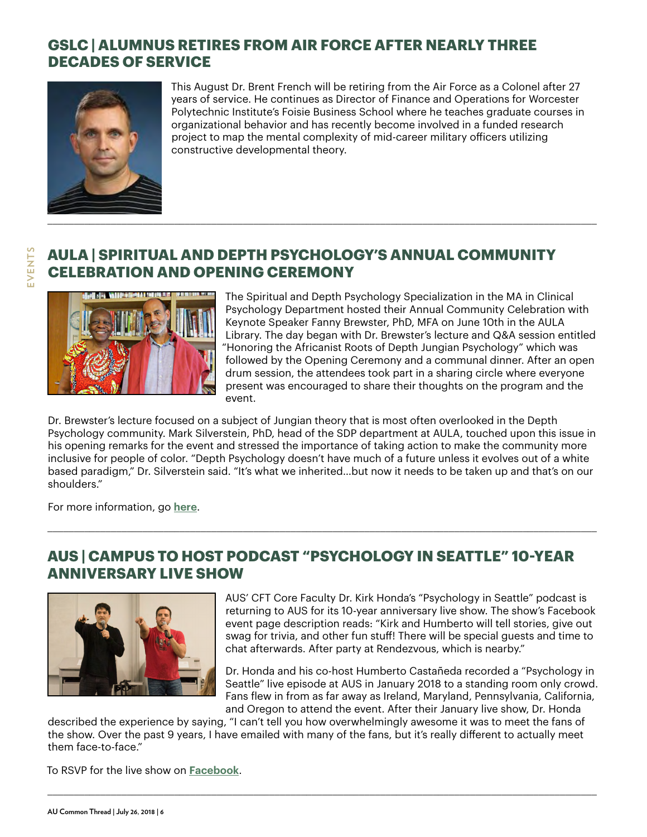## **GSLC | ALUMNUS RETIRES FROM AIR FORCE AFTER NEARLY THREE DECADES OF SERVICE**

**AULA | SPIRITUAL AND DEPTH PSYCHOLOGY'S ANNUAL COMMUNITY** 



This August Dr. Brent French will be retiring from the Air Force as a Colonel after 27 years of service. He continues as Director of Finance and Operations for Worcester Polytechnic Institute's Foisie Business School where he teaches graduate courses in organizational behavior and has recently become involved in a funded research project to map the mental complexity of mid-career military officers utilizing constructive developmental theory.

## EVENTS **EVENTS**



**CELEBRATION AND OPENING CEREMONY**

The Spiritual and Depth Psychology Specialization in the MA in Clinical Psychology Department hosted their Annual Community Celebration with Keynote Speaker Fanny Brewster, PhD, MFA on June 10th in the AULA Library. The day began with Dr. Brewster's lecture and Q&A session entitled "Honoring the Africanist Roots of Depth Jungian Psychology" which was followed by the Opening Ceremony and a communal dinner. After an open drum session, the attendees took part in a sharing circle where everyone present was encouraged to share their thoughts on the program and the event.

Dr. Brewster's lecture focused on a subject of Jungian theory that is most often overlooked in the Depth Psychology community. Mark Silverstein, PhD, head of the SDP department at AULA, touched upon this issue in his opening remarks for the event and stressed the importance of taking action to make the community more inclusive for people of color. "Depth Psychology doesn't have much of a future unless it evolves out of a white based paradigm," Dr. Silverstein said. "It's what we inherited…but now it needs to be taken up and that's on our shoulders."

\_\_\_\_\_\_\_\_\_\_\_\_\_\_\_\_\_\_\_\_\_\_\_\_\_\_\_\_\_\_\_\_\_\_\_\_\_\_\_\_\_\_\_\_\_\_\_\_\_\_\_\_\_\_\_\_\_\_\_\_\_\_\_\_\_\_\_\_\_\_\_\_\_\_\_\_\_\_\_\_\_\_\_\_\_\_\_\_\_\_\_\_\_\_\_\_\_\_\_\_\_\_\_\_

For more information, go **[here](https://www.antioch.edu/los-angeles/2018/07/07/spiritual-depth-psychologys-annual-community-celebration-opening-ceremony/)**.

## **AUS | CAMPUS TO HOST PODCAST "PSYCHOLOGY IN SEATTLE" 10-YEAR ANNIVERSARY LIVE SHOW**



AUS' CFT Core Faculty Dr. Kirk Honda's "Psychology in Seattle" podcast is returning to AUS for its 10-year anniversary live show. The show's Facebook event page description reads: "Kirk and Humberto will tell stories, give out swag for trivia, and other fun stuff! There will be special guests and time to chat afterwards. After party at Rendezvous, which is nearby."

Dr. Honda and his co-host Humberto Castañeda recorded a "Psychology in Seattle" live episode at AUS in January 2018 to a standing room only crowd. Fans flew in from as far away as Ireland, Maryland, Pennsylvania, California, and Oregon to attend the event. After their January live show, Dr. Honda

described the experience by saying, "I can't tell you how overwhelmingly awesome it was to meet the fans of the show. Over the past 9 years, I have emailed with many of the fans, but it's really different to actually meet them face-to-face."

\_\_\_\_\_\_\_\_\_\_\_\_\_\_\_\_\_\_\_\_\_\_\_\_\_\_\_\_\_\_\_\_\_\_\_\_\_\_\_\_\_\_\_\_\_\_\_\_\_\_\_\_\_\_\_\_\_\_\_\_\_\_\_\_\_\_\_\_\_\_\_\_\_\_\_\_\_\_\_\_\_\_\_\_\_\_\_\_\_\_\_\_\_\_\_\_\_\_\_\_\_\_\_\_

To RSVP for the live show on **[Facebook](https://www.facebook.com/events/1698109020228187/)**.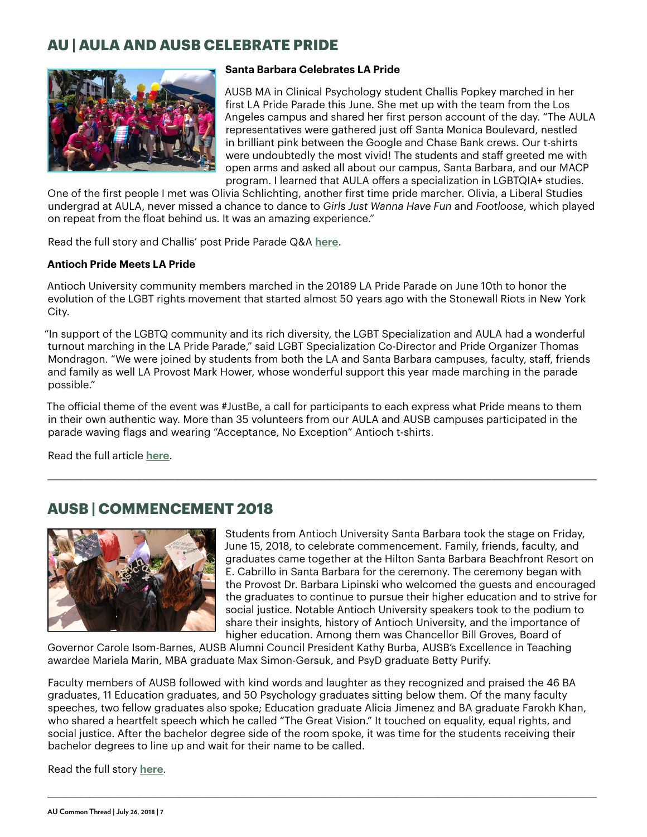## **AU | AULA AND AUSB CELEBRATE PRIDE**



#### **Santa Barbara Celebrates LA Pride**

AUSB MA in Clinical Psychology student Challis Popkey marched in her first LA Pride Parade this June. She met up with the team from the Los Angeles campus and shared her first person account of the day. "The AULA representatives were gathered just off Santa Monica Boulevard, nestled in brilliant pink between the Google and Chase Bank crews. Our t-shirts were undoubtedly the most vivid! The students and staff greeted me with open arms and asked all about our campus, Santa Barbara, and our MACP program. I learned that AULA offers a specialization in LGBTQIA+ studies.

One of the first people I met was Olivia Schlichting, another first time pride marcher. Olivia, a Liberal Studies undergrad at AULA, never missed a chance to dance to *Girls Just Wanna Have Fun* and *Footloose*, which played on repeat from the float behind us. It was an amazing experience."

Read the full story and Challis' post Pride Parade Q&A **[here](https://www.antioch.edu/santa-barbara/2018/07/18/students-santa-barbara-march-la-pride-parade/)**.

#### **Antioch Pride Meets LA Pride**

Antioch University community members marched in the 20189 LA Pride Parade on June 10th to honor the evolution of the LGBT rights movement that started almost 50 years ago with the Stonewall Riots in New York City.

"In support of the LGBTQ community and its rich diversity, the LGBT Specialization and AULA had a wonderful turnout marching in the LA Pride Parade," said LGBT Specialization Co-Director and Pride Organizer Thomas Mondragon. "We were joined by students from both the LA and Santa Barbara campuses, faculty, staff, friends and family as well LA Provost Mark Hower, whose wonderful support this year made marching in the parade possible."

The official theme of the event was #JustBe, a call for participants to each express what Pride means to them in their own authentic way. More than 35 volunteers from our AULA and AUSB campuses participated in the parade waving flags and wearing "Acceptance, No Exception" Antioch t-shirts.

\_\_\_\_\_\_\_\_\_\_\_\_\_\_\_\_\_\_\_\_\_\_\_\_\_\_\_\_\_\_\_\_\_\_\_\_\_\_\_\_\_\_\_\_\_\_\_\_\_\_\_\_\_\_\_\_\_\_\_\_\_\_\_\_\_\_\_\_\_\_\_\_\_\_\_\_\_\_\_\_\_\_\_\_\_\_\_\_\_\_\_\_\_\_\_\_\_\_\_\_\_\_\_\_

Read the full article **[here](https://www.antioch.edu/los-angeles/2018/07/19/antioch-pride-meets-la-pride/)**.

## **AUSB | COMMENCEMENT 2018**



Students from Antioch University Santa Barbara took the stage on Friday, June 15, 2018, to celebrate commencement. Family, friends, faculty, and graduates came together at the Hilton Santa Barbara Beachfront Resort on E. Cabrillo in Santa Barbara for the ceremony. The ceremony began with the Provost Dr. Barbara Lipinski who welcomed the guests and encouraged the graduates to continue to pursue their higher education and to strive for social justice. Notable Antioch University speakers took to the podium to share their insights, history of Antioch University, and the importance of higher education. Among them was Chancellor Bill Groves, Board of

Governor Carole Isom-Barnes, AUSB Alumni Council President Kathy Burba, AUSB's Excellence in Teaching awardee Mariela Marin, MBA graduate Max Simon-Gersuk, and PsyD graduate Betty Purify.

Faculty members of AUSB followed with kind words and laughter as they recognized and praised the 46 BA graduates, 11 Education graduates, and 50 Psychology graduates sitting below them. Of the many faculty speeches, two fellow graduates also spoke; Education graduate Alicia Jimenez and BA graduate Farokh Khan, who shared a heartfelt speech which he called "The Great Vision." It touched on equality, equal rights, and social justice. After the bachelor degree side of the room spoke, it was time for the students receiving their bachelor degrees to line up and wait for their name to be called.

\_\_\_\_\_\_\_\_\_\_\_\_\_\_\_\_\_\_\_\_\_\_\_\_\_\_\_\_\_\_\_\_\_\_\_\_\_\_\_\_\_\_\_\_\_\_\_\_\_\_\_\_\_\_\_\_\_\_\_\_\_\_\_\_\_\_\_\_\_\_\_\_\_\_\_\_\_\_\_\_\_\_\_\_\_\_\_\_\_\_\_\_\_\_\_\_\_\_\_\_\_\_\_\_

Read the full story **[here](https://www.antioch.edu/santa-barbara/2018/07/19/commencement-2018/)**.